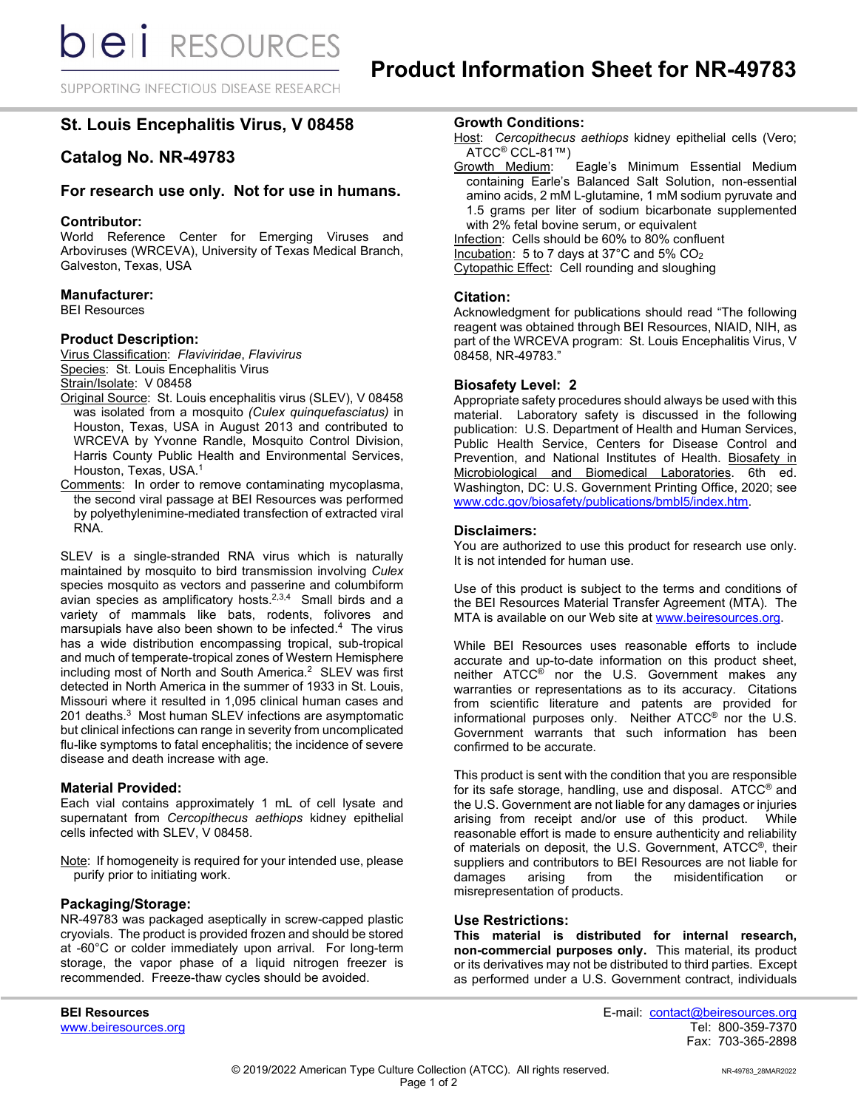SUPPORTING INFECTIOUS DISEASE RESEARCH

# **St. Louis Encephalitis Virus, V 08458**

# **Catalog No. NR-49783**

## **For research use only. Not for use in humans.**

## **Contributor:**

World Reference Center for Emerging Viruses and Arboviruses (WRCEVA), University of Texas Medical Branch, Galveston, Texas, USA

## **Manufacturer:**

BEI Resources

## **Product Description:**

Virus Classification: *Flaviviridae*, *Flavivirus* Species: St. Louis Encephalitis Virus Strain/Isolate: V 08458

- Original Source: St. Louis encephalitis virus (SLEV), V 08458 was isolated from a mosquito *(Culex quinquefasciatus)* in Houston, Texas, USA in August 2013 and contributed to WRCEVA by Yvonne Randle, Mosquito Control Division, Harris County Public Health and Environmental Services, Houston, Texas, USA. 1
- Comments: In order to remove contaminating mycoplasma, the second viral passage at BEI Resources was performed by polyethylenimine-mediated transfection of extracted viral RNA.

SLEV is a single-stranded RNA virus which is naturally maintained by mosquito to bird transmission involving *Culex*  species mosquito as vectors and passerine and columbiform avian species as amplificatory hosts.<sup>2,3,4</sup> Small birds and a variety of mammals like bats, rodents, folivores and marsupials have also been shown to be infected.4 The virus has a wide distribution encompassing tropical, sub-tropical and much of temperate-tropical zones of Western Hemisphere including most of North and South America. 2 SLEV was first detected in North America in the summer of 1933 in St. Louis, Missouri where it resulted in 1,095 clinical human cases and 201 deaths. 3 Most human SLEV infections are asymptomatic but clinical infections can range in severity from uncomplicated flu-like symptoms to fatal encephalitis; the incidence of severe disease and death increase with age.

#### **Material Provided:**

Each vial contains approximately 1 mL of cell lysate and supernatant from *Cercopithecus aethiops* kidney epithelial cells infected with SLEV, V 08458.

Note: If homogeneity is required for your intended use, please purify prior to initiating work.

#### **Packaging/Storage:**

NR-49783 was packaged aseptically in screw-capped plastic cryovials. The product is provided frozen and should be stored at -60°C or colder immediately upon arrival. For long-term storage, the vapor phase of a liquid nitrogen freezer is recommended. Freeze-thaw cycles should be avoided.

www.beiresources.org

## **Growth Conditions:**

- Host: Cercopithecus aethiops kidney epithelial cells (Vero; ATCC<sup>®</sup> CCL-81™)<br>Growth Medium:
- Eagle's Minimum Essential Medium containing Earle's Balanced Salt Solution, non-essential amino acids, 2 mM L-glutamine, 1 mM sodium pyruvate and 1.5 grams per liter of sodium bicarbonate supplemented with 2% fetal bovine serum, or equivalent Infection: Cells should be 60% to 80% confluent

Incubation: 5 to 7 days at 37°C and 5% CO2 Cytopathic Effect: Cell rounding and sloughing

#### **Citation:**

Acknowledgment for publications should read "The following reagent was obtained through BEI Resources, NIAID, NIH, as part of the WRCEVA program: St. Louis Encephalitis Virus, V 08458, NR-49783."

#### **Biosafety Level: 2**

Appropriate safety procedures should always be used with this material. Laboratory safety is discussed in the following publication: U.S. Department of Health and Human Services, Public Health Service, Centers for Disease Control and Prevention, and National Institutes of Health. Biosafety in Microbiological and Biomedical Laboratories. 6th ed. Washington, DC: U.S. Government Printing Office, 2020; see [www.cdc.gov/biosafety/publications/bmbl5/index.htm.](http://www.cdc.gov/biosafety/publications/bmbl5/index.htm)

#### **Disclaimers:**

You are authorized to use this product for research use only. It is not intended for human use.

Use of this product is subject to the terms and conditions of the BEI Resources Material Transfer Agreement (MTA). The MTA is available on our Web site at [www.beiresources.org.](http://www.beiresources.org/)

While BEI Resources uses reasonable efforts to include accurate and up-to-date information on this product sheet, neither ATCC<sup>®</sup> nor the U.S. Government makes any warranties or representations as to its accuracy. Citations from scientific literature and patents are provided for informational purposes only. Neither ATCC® nor the U.S. Government warrants that such information has been confirmed to be accurate.

This product is sent with the condition that you are responsible for its safe storage, handling, use and disposal. ATCC® and the U.S. Government are not liable for any damages or injuries arising from receipt and/or use of this product. While reasonable effort is made to ensure authenticity and reliability of materials on deposit, the U.S. Government, ATCC®, their suppliers and contributors to BEI Resources are not liable for<br>damages arising from the misidentification or misidentification misrepresentation of products.

#### **Use Restrictions:**

**This material is distributed for internal research, non-commercial purposes only.** This material, its product or its derivatives may not be distributed to third parties. Except as performed under a U.S. Government contract, individuals